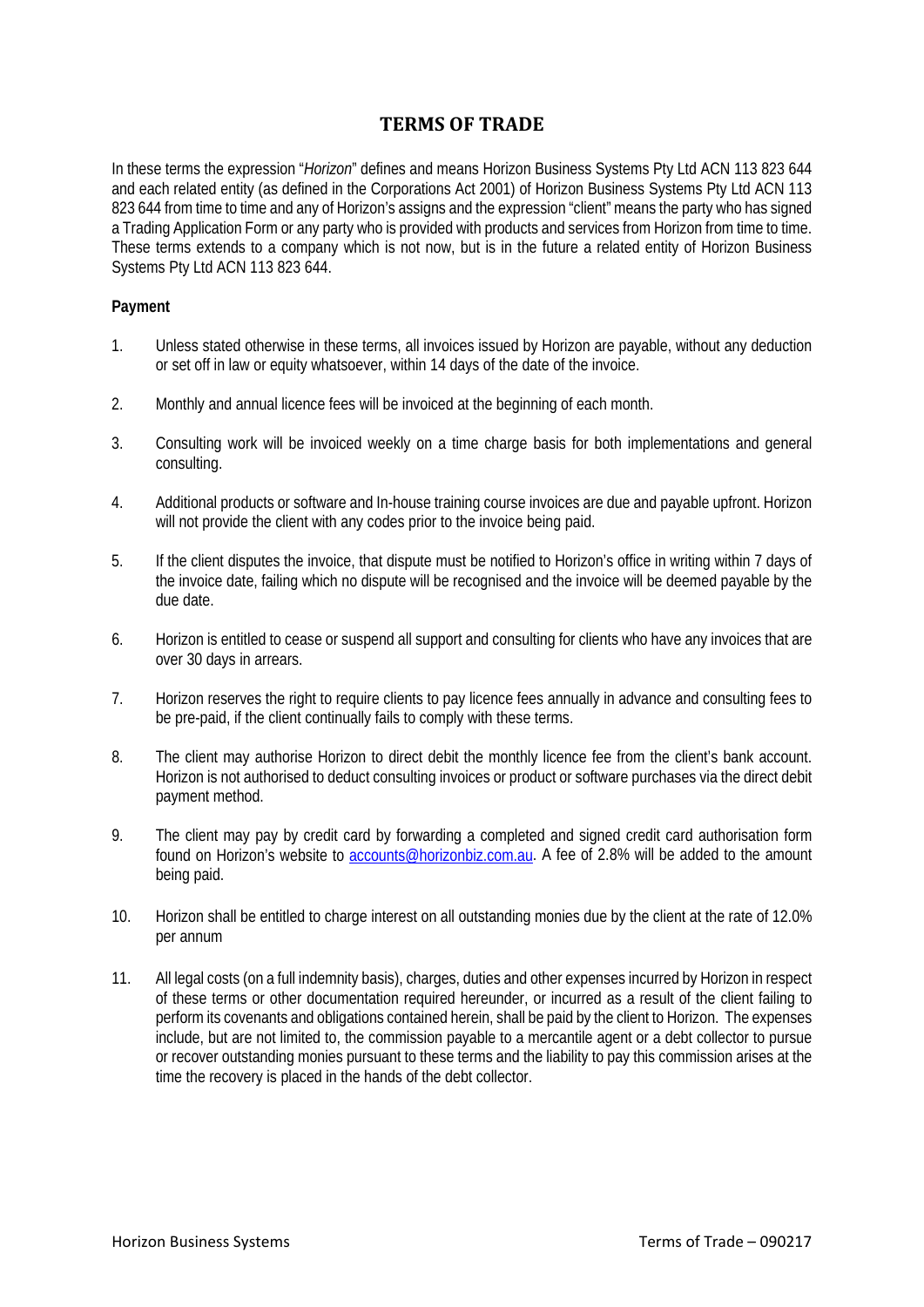# **TERMS OF TRADE**

In these terms the expression "*Horizon*" defines and means Horizon Business Systems Pty Ltd ACN 113 823 644 and each related entity (as defined in the Corporations Act 2001) of Horizon Business Systems Pty Ltd ACN 113 823 644 from time to time and any of Horizon's assigns and the expression "client" means the party who has signed a Trading Application Form or any party who is provided with products and services from Horizon from time to time. These terms extends to a company which is not now, but is in the future a related entity of Horizon Business Systems Pty Ltd ACN 113 823 644.

## **Payment**

- 1. Unless stated otherwise in these terms, all invoices issued by Horizon are payable, without any deduction or set off in law or equity whatsoever, within 14 days of the date of the invoice.
- 2. Monthly and annual licence fees will be invoiced at the beginning of each month.
- 3. Consulting work will be invoiced weekly on a time charge basis for both implementations and general consulting.
- 4. Additional products or software and In-house training course invoices are due and payable upfront. Horizon will not provide the client with any codes prior to the invoice being paid.
- 5. If the client disputes the invoice, that dispute must be notified to Horizon's office in writing within 7 days of the invoice date, failing which no dispute will be recognised and the invoice will be deemed payable by the due date.
- 6. Horizon is entitled to cease or suspend all support and consulting for clients who have any invoices that are over 30 days in arrears.
- 7. Horizon reserves the right to require clients to pay licence fees annually in advance and consulting fees to be pre-paid, if the client continually fails to comply with these terms.
- 8. The client may authorise Horizon to direct debit the monthly licence fee from the client's bank account. Horizon is not authorised to deduct consulting invoices or product or software purchases via the direct debit payment method.
- 9. The client may pay by credit card by forwarding a completed and signed credit card authorisation form found on Horizon's website to [accounts@horizonbiz.com.au.](mailto:accounts@horizonbiz.com.au) A fee of 2.8% will be added to the amount being paid.
- 10. Horizon shall be entitled to charge interest on all outstanding monies due by the client at the rate of 12.0% per annum
- 11. All legal costs (on a full indemnity basis), charges, duties and other expenses incurred by Horizon in respect of these terms or other documentation required hereunder, or incurred as a result of the client failing to perform its covenants and obligations contained herein, shall be paid by the client to Horizon. The expenses include, but are not limited to, the commission payable to a mercantile agent or a debt collector to pursue or recover outstanding monies pursuant to these terms and the liability to pay this commission arises at the time the recovery is placed in the hands of the debt collector.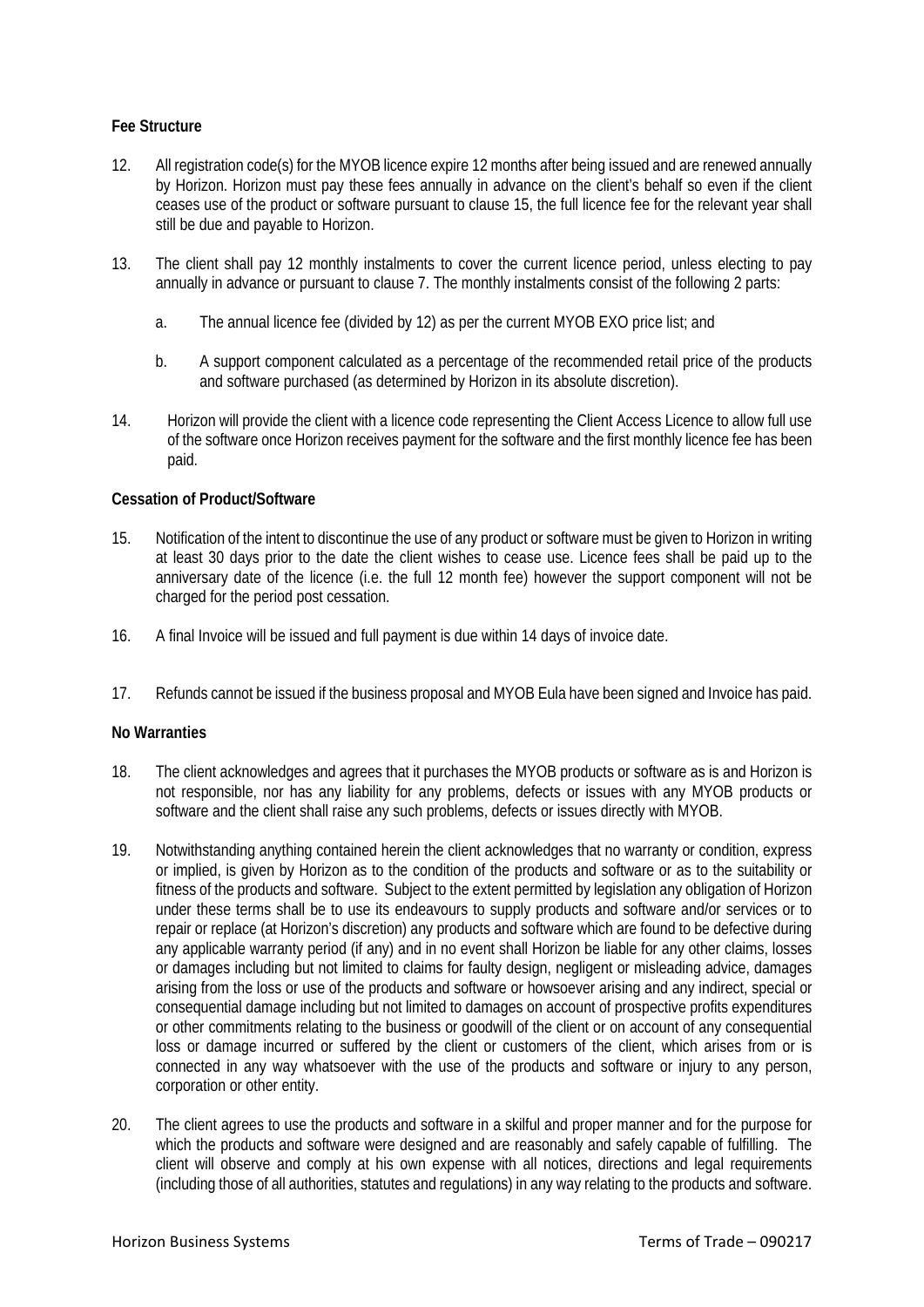## **Fee Structure**

- 12. All registration code(s) for the MYOB licence expire 12 months after being issued and are renewed annually by Horizon. Horizon must pay these fees annually in advance on the client's behalf so even if the client ceases use of the product or software pursuant to clause 15, the full licence fee for the relevant year shall still be due and payable to Horizon.
- 13. The client shall pay 12 monthly instalments to cover the current licence period, unless electing to pay annually in advance or pursuant to clause 7. The monthly instalments consist of the following 2 parts:
	- a. The annual licence fee (divided by 12) as per the current MYOB EXO price list; and
	- b. A support component calculated as a percentage of the recommended retail price of the products and software purchased (as determined by Horizon in its absolute discretion).
- 14. Horizon will provide the client with a licence code representing the Client Access Licence to allow full use of the software once Horizon receives payment for the software and the first monthly licence fee has been paid.

#### **Cessation of Product/Software**

- 15. Notification of the intent to discontinue the use of any product or software must be given to Horizon in writing at least 30 days prior to the date the client wishes to cease use. Licence fees shall be paid up to the anniversary date of the licence (i.e. the full 12 month fee) however the support component will not be charged for the period post cessation.
- 16. A final Invoice will be issued and full payment is due within 14 days of invoice date.
- 17. Refunds cannot be issued if the business proposal and MYOB Eula have been signed and Invoice has paid.

#### **No Warranties**

- 18. The client acknowledges and agrees that it purchases the MYOB products or software as is and Horizon is not responsible, nor has any liability for any problems, defects or issues with any MYOB products or software and the client shall raise any such problems, defects or issues directly with MYOB.
- 19. Notwithstanding anything contained herein the client acknowledges that no warranty or condition, express or implied, is given by Horizon as to the condition of the products and software or as to the suitability or fitness of the products and software. Subject to the extent permitted by legislation any obligation of Horizon under these terms shall be to use its endeavours to supply products and software and/or services or to repair or replace (at Horizon's discretion) any products and software which are found to be defective during any applicable warranty period (if any) and in no event shall Horizon be liable for any other claims, losses or damages including but not limited to claims for faulty design, negligent or misleading advice, damages arising from the loss or use of the products and software or howsoever arising and any indirect, special or consequential damage including but not limited to damages on account of prospective profits expenditures or other commitments relating to the business or goodwill of the client or on account of any consequential loss or damage incurred or suffered by the client or customers of the client, which arises from or is connected in any way whatsoever with the use of the products and software or injury to any person, corporation or other entity.
- 20. The client agrees to use the products and software in a skilful and proper manner and for the purpose for which the products and software were designed and are reasonably and safely capable of fulfilling. The client will observe and comply at his own expense with all notices, directions and legal requirements (including those of all authorities, statutes and regulations) in any way relating to the products and software.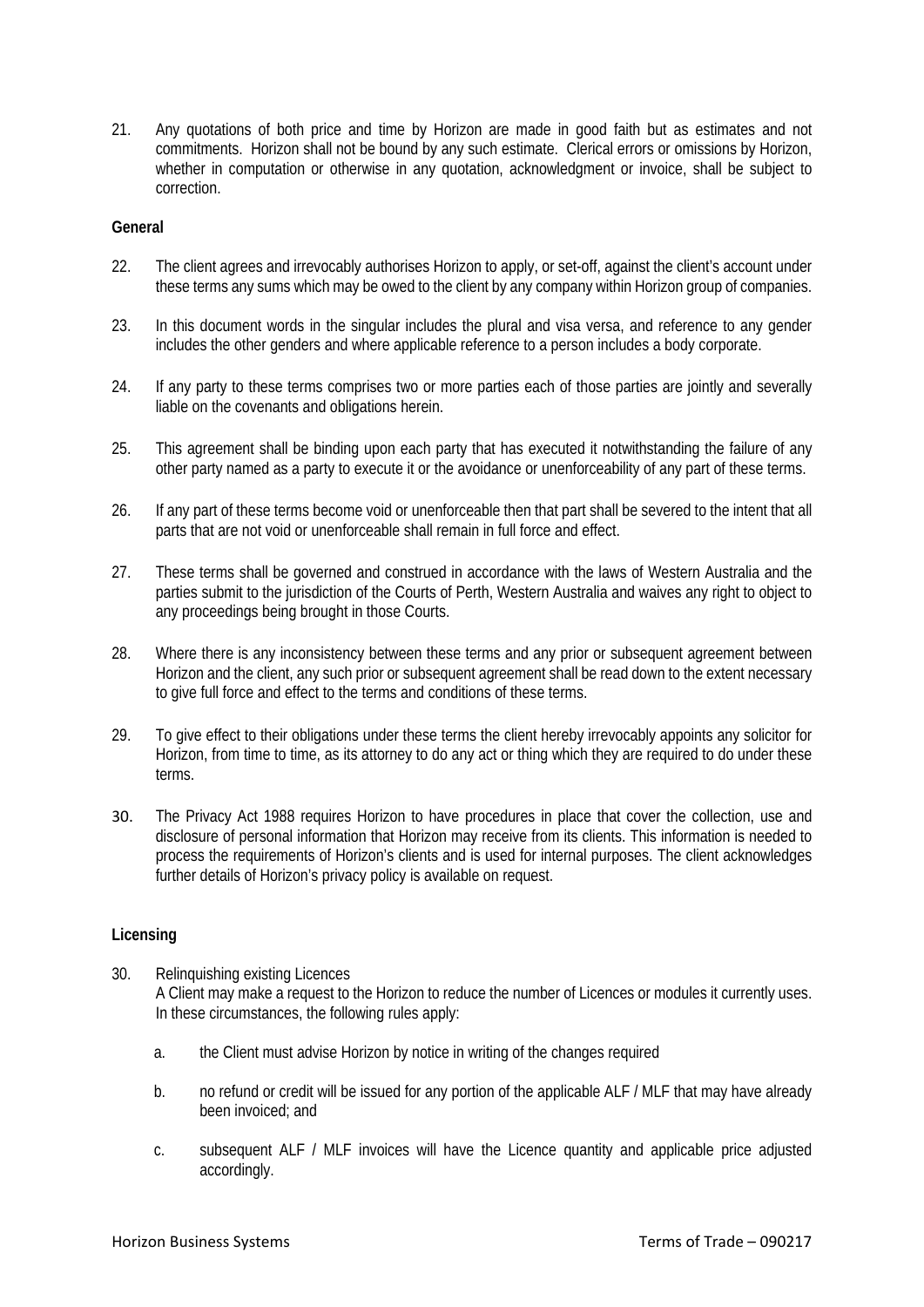21. Any quotations of both price and time by Horizon are made in good faith but as estimates and not commitments. Horizon shall not be bound by any such estimate. Clerical errors or omissions by Horizon, whether in computation or otherwise in any quotation, acknowledgment or invoice, shall be subject to correction.

### **General**

- 22. The client agrees and irrevocably authorises Horizon to apply, or set-off, against the client's account under these terms any sums which may be owed to the client by any company within Horizon group of companies.
- 23. In this document words in the singular includes the plural and visa versa, and reference to any gender includes the other genders and where applicable reference to a person includes a body corporate.
- 24. If any party to these terms comprises two or more parties each of those parties are jointly and severally liable on the covenants and obligations herein.
- 25. This agreement shall be binding upon each party that has executed it notwithstanding the failure of any other party named as a party to execute it or the avoidance or unenforceability of any part of these terms.
- 26. If any part of these terms become void or unenforceable then that part shall be severed to the intent that all parts that are not void or unenforceable shall remain in full force and effect.
- 27. These terms shall be governed and construed in accordance with the laws of Western Australia and the parties submit to the jurisdiction of the Courts of Perth, Western Australia and waives any right to object to any proceedings being brought in those Courts.
- 28. Where there is any inconsistency between these terms and any prior or subsequent agreement between Horizon and the client, any such prior or subsequent agreement shall be read down to the extent necessary to give full force and effect to the terms and conditions of these terms.
- 29. To give effect to their obligations under these terms the client hereby irrevocably appoints any solicitor for Horizon, from time to time, as its attorney to do any act or thing which they are required to do under these terms.
- 30. The Privacy Act 1988 requires Horizon to have procedures in place that cover the collection, use and disclosure of personal information that Horizon may receive from its clients. This information is needed to process the requirements of Horizon's clients and is used for internal purposes. The client acknowledges further details of Horizon's privacy policy is available on request.

#### **Licensing**

- 30. Relinquishing existing Licences A Client may make a request to the Horizon to reduce the number of Licences or modules it currently uses. In these circumstances, the following rules apply:
	- a. the Client must advise Horizon by notice in writing of the changes required
	- b. no refund or credit will be issued for any portion of the applicable ALF / MLF that may have already been invoiced; and
	- c. subsequent ALF / MLF invoices will have the Licence quantity and applicable price adjusted accordingly.